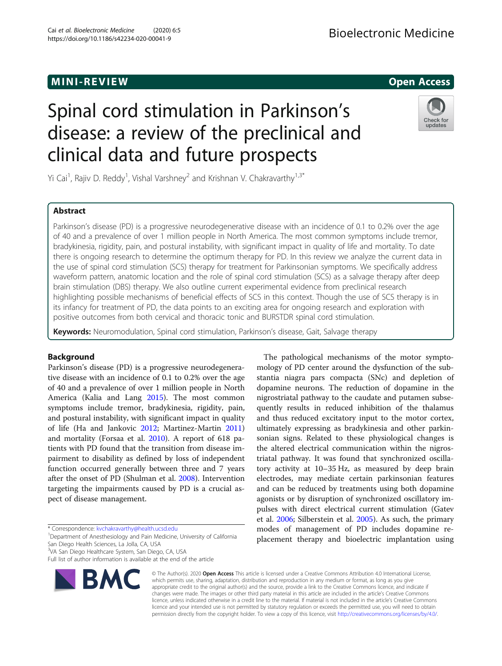# **MINI-REVIEW CONSULTER SERVIEW CONSULTER SERVICE SERVICE SERVICE SERVICE SERVICE SERVICE SERVICE SERVICE SERVICE**

# Spinal cord stimulation in Parkinson's disease: a review of the preclinical and clinical data and future prospects



Yi Cai<sup>1</sup>, Rajiv D. Reddy<sup>1</sup>, Vishal Varshney<sup>2</sup> and Krishnan V. Chakravarthy<sup>1,3\*</sup>

# Abstract

Parkinson's disease (PD) is a progressive neurodegenerative disease with an incidence of 0.1 to 0.2% over the age of 40 and a prevalence of over 1 million people in North America. The most common symptoms include tremor, bradykinesia, rigidity, pain, and postural instability, with significant impact in quality of life and mortality. To date there is ongoing research to determine the optimum therapy for PD. In this review we analyze the current data in the use of spinal cord stimulation (SCS) therapy for treatment for Parkinsonian symptoms. We specifically address waveform pattern, anatomic location and the role of spinal cord stimulation (SCS) as a salvage therapy after deep brain stimulation (DBS) therapy. We also outline current experimental evidence from preclinical research highlighting possible mechanisms of beneficial effects of SCS in this context. Though the use of SCS therapy is in its infancy for treatment of PD, the data points to an exciting area for ongoing research and exploration with positive outcomes from both cervical and thoracic tonic and BURSTDR spinal cord stimulation.

Keywords: Neuromodulation, Spinal cord stimulation, Parkinson's disease, Gait, Salvage therapy

# Background

Parkinson's disease (PD) is a progressive neurodegenerative disease with an incidence of 0.1 to 0.2% over the age of 40 and a prevalence of over 1 million people in North America (Kalia and Lang [2015](#page-8-0)). The most common symptoms include tremor, bradykinesia, rigidity, pain, and postural instability, with significant impact in quality of life (Ha and Jankovic [2012;](#page-8-0) Martinez-Martin [2011](#page-8-0)) and mortality (Forsaa et al. [2010\)](#page-8-0). A report of 618 patients with PD found that the transition from disease impairment to disability as defined by loss of independent function occurred generally between three and 7 years after the onset of PD (Shulman et al. [2008\)](#page-8-0). Intervention targeting the impairments caused by PD is a crucial aspect of disease management.

\* Correspondence: [kvchakravarthy@health.ucsd.edu](mailto:kvchakravarthy@health.ucsd.edu) <sup>1</sup>

<sup>1</sup>Department of Anesthesiology and Pain Medicine, University of California San Diego Health Sciences, La Jolla, CA, USA

3 VA San Diego Healthcare System, San Diego, CA, USA

Full list of author information is available at the end of the article



mology of PD center around the dysfunction of the substantia niagra pars compacta (SNc) and depletion of dopamine neurons. The reduction of dopamine in the nigrostriatal pathway to the caudate and putamen subsequently results in reduced inhibition of the thalamus and thus reduced excitatory input to the motor cortex, ultimately expressing as bradykinesia and other parkinsonian signs. Related to these physiological changes is the altered electrical communication within the nigrostriatal pathway. It was found that synchronized oscillatory activity at 10–35 Hz, as measured by deep brain electrodes, may mediate certain parkinsonian features and can be reduced by treatments using both dopamine agonists or by disruption of synchronized oscillatory impulses with direct electrical current stimulation (Gatev et al. [2006;](#page-8-0) Silberstein et al. [2005\)](#page-8-0). As such, the primary modes of management of PD includes dopamine replacement therapy and bioelectric implantation using

The pathological mechanisms of the motor sympto-

© The Author(s). 2020 Open Access This article is licensed under a Creative Commons Attribution 4.0 International License, which permits use, sharing, adaptation, distribution and reproduction in any medium or format, as long as you give appropriate credit to the original author(s) and the source, provide a link to the Creative Commons licence, and indicate if changes were made. The images or other third party material in this article are included in the article's Creative Commons licence, unless indicated otherwise in a credit line to the material. If material is not included in the article's Creative Commons licence and your intended use is not permitted by statutory regulation or exceeds the permitted use, you will need to obtain permission directly from the copyright holder. To view a copy of this licence, visit [http://creativecommons.org/licenses/by/4.0/.](http://creativecommons.org/licenses/by/4.0/)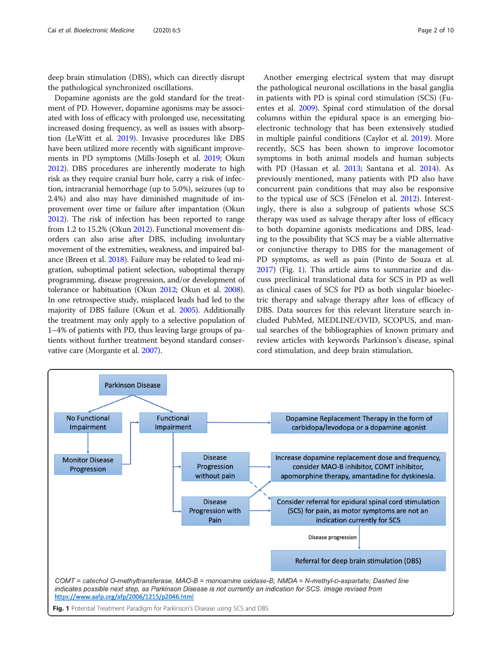deep brain stimulation (DBS), which can directly disrupt the pathological synchronized oscillations.

Dopamine agonists are the gold standard for the treatment of PD. However, dopamine agonisms may be associated with loss of efficacy with prolonged use, necessitating increased dosing frequency, as well as issues with absorption (LeWitt et al. [2019](#page-8-0)). Invasive procedures like DBS have been utilized more recently with significant improvements in PD symptoms (Mills-Joseph et al. [2019](#page-8-0); Okun [2012\)](#page-8-0). DBS procedures are inherently moderate to high risk as they require cranial burr hole, carry a risk of infection, intracranial hemorrhage (up to 5.0%), seizures (up to 2.4%) and also may have diminished magnitude of improvement over time or failure after impantation (Okun [2012\)](#page-8-0). The risk of infection has been reported to range from 1.2 to 15.2% (Okun [2012\)](#page-8-0). Functional movement disorders can also arise after DBS, including involuntary movement of the extremities, weakness, and impaired balance (Breen et al. [2018\)](#page-8-0). Failure may be related to lead migration, suboptimal patient selection, suboptimal therapy programming, disease progression, and/or development of tolerance or habituation (Okun [2012;](#page-8-0) Okun et al. [2008](#page-8-0)). In one retrospective study, misplaced leads had led to the majority of DBS failure (Okun et al. [2005](#page-8-0)). Additionally the treatment may only apply to a selective population of 1–4% of patients with PD, thus leaving large groups of patients without further treatment beyond standard conservative care (Morgante et al. [2007](#page-8-0)).

Another emerging electrical system that may disrupt the pathological neuronal oscillations in the basal ganglia in patients with PD is spinal cord stimulation (SCS) (Fuentes et al. [2009](#page-8-0)). Spinal cord stimulation of the dorsal columns within the epidural space is an emerging bioelectronic technology that has been extensively studied in multiple painful conditions (Caylor et al. [2019\)](#page-8-0). More recently, SCS has been shown to improve locomotor symptoms in both animal models and human subjects with PD (Hassan et al. [2013;](#page-8-0) Santana et al. [2014\)](#page-8-0). As previously mentioned, many patients with PD also have concurrent pain conditions that may also be responsive to the typical use of SCS (Fénelon et al. [2012\)](#page-8-0). Interestingly, there is also a subgroup of patients whose SCS therapy was used as salvage therapy after loss of efficacy to both dopamine agonists medications and DBS, leading to the possibility that SCS may be a viable alternative or conjunctive therapy to DBS for the management of PD symptoms, as well as pain (Pinto de Souza et al. [2017](#page-8-0)) (Fig. 1). This article aims to summarize and discuss preclinical translational data for SCS in PD as well as clinical cases of SCS for PD as both singular bioelectric therapy and salvage therapy after loss of efficacy of DBS. Data sources for this relevant literature search included PubMed, MEDLINE/OVID, SCOPUS, and manual searches of the bibliographies of known primary and review articles with keywords Parkinson's disease, spinal cord stimulation, and deep brain stimulation.



Fig. 1 Potential Treatment Paradigm for Parkinson's Disease using SCS and DBS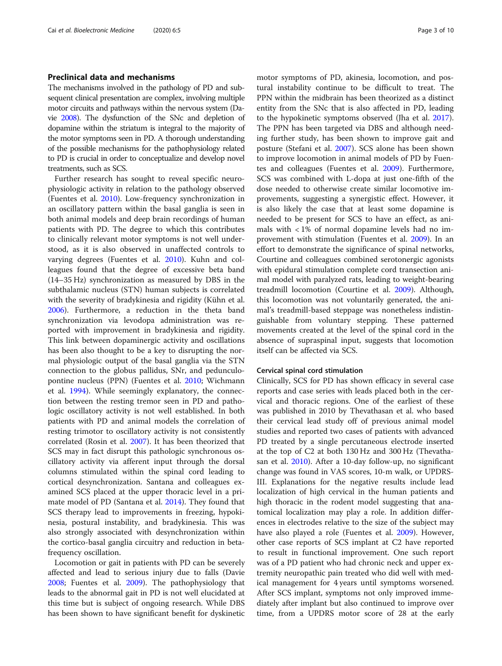## Preclinical data and mechanisms

The mechanisms involved in the pathology of PD and subsequent clinical presentation are complex, involving multiple motor circuits and pathways within the nervous system (Davie [2008](#page-8-0)). The dysfunction of the SNc and depletion of dopamine within the striatum is integral to the majority of the motor symptoms seen in PD. A thorough understanding of the possible mechanisms for the pathophysiology related to PD is crucial in order to conceptualize and develop novel treatments, such as SCS.

Further research has sought to reveal specific neurophysiologic activity in relation to the pathology observed (Fuentes et al. [2010](#page-8-0)). Low-frequency synchronization in an oscillatory pattern within the basal ganglia is seen in both animal models and deep brain recordings of human patients with PD. The degree to which this contributes to clinically relevant motor symptoms is not well understood, as it is also observed in unaffected controls to varying degrees (Fuentes et al. [2010](#page-8-0)). Kuhn and colleagues found that the degree of excessive beta band (14–35 Hz) synchronization as measured by DBS in the subthalamic nucleus (STN) human subjects is correlated with the severity of bradykinesia and rigidity (Kühn et al. [2006](#page-8-0)). Furthermore, a reduction in the theta band synchronization via levodopa administration was reported with improvement in bradykinesia and rigidity. This link between dopaminergic activity and oscillations has been also thought to be a key to disrupting the normal physiologic output of the basal ganglia via the STN connection to the globus pallidus, SNr, and pedunculopontine nucleus (PPN) (Fuentes et al. [2010;](#page-8-0) Wichmann et al. [1994](#page-9-0)). While seemingly explanatory, the connection between the resting tremor seen in PD and pathologic oscillatory activity is not well established. In both patients with PD and animal models the correlation of resting trimotor to oscillatory activity is not consistently correlated (Rosin et al. [2007](#page-8-0)). It has been theorized that SCS may in fact disrupt this pathologic synchronous oscillatory activity via afferent input through the dorsal columns stimulated within the spinal cord leading to cortical desynchronization. Santana and colleagues examined SCS placed at the upper thoracic level in a primate model of PD (Santana et al. [2014\)](#page-8-0). They found that SCS therapy lead to improvements in freezing, hypokinesia, postural instability, and bradykinesia. This was also strongly associated with desynchronization within the cortico-basal ganglia circuitry and reduction in betafrequency oscillation.

Locomotion or gait in patients with PD can be severely affected and lead to serious injury due to falls (Davie [2008](#page-8-0); Fuentes et al. [2009](#page-8-0)). The pathophysiology that leads to the abnormal gait in PD is not well elucidated at this time but is subject of ongoing research. While DBS has been shown to have significant benefit for dyskinetic motor symptoms of PD, akinesia, locomotion, and postural instability continue to be difficult to treat. The PPN within the midbrain has been theorized as a distinct entity from the SNc that is also affected in PD, leading to the hypokinetic symptoms observed (Jha et al. [2017](#page-8-0)). The PPN has been targeted via DBS and although needing further study, has been shown to improve gait and posture (Stefani et al. [2007](#page-8-0)). SCS alone has been shown to improve locomotion in animal models of PD by Fuentes and colleagues (Fuentes et al. [2009](#page-8-0)). Furthermore, SCS was combined with L-dopa at just one-fifth of the dose needed to otherwise create similar locomotive improvements, suggesting a synergistic effect. However, it is also likely the case that at least some dopamine is needed to be present for SCS to have an effect, as animals with < 1% of normal dopamine levels had no improvement with stimulation (Fuentes et al. [2009](#page-8-0)). In an effort to demonstrate the significance of spinal networks, Courtine and colleagues combined serotonergic agonists with epidural stimulation complete cord transection animal model with paralyzed rats, leading to weight-bearing treadmill locomotion (Courtine et al. [2009\)](#page-8-0). Although, this locomotion was not voluntarily generated, the animal's treadmill-based steppage was nonetheless indistinguishable from voluntary stepping. These patterned movements created at the level of the spinal cord in the absence of supraspinal input, suggests that locomotion itself can be affected via SCS.

#### Cervical spinal cord stimulation

Clinically, SCS for PD has shown efficacy in several case reports and case series with leads placed both in the cervical and thoracic regions. One of the earliest of these was published in 2010 by Thevathasan et al. who based their cervical lead study off of previous animal model studies and reported two cases of patients with advanced PD treated by a single percutaneous electrode inserted at the top of C2 at both 130 Hz and 300 Hz (Thevathasan et al. [2010](#page-9-0)). After a 10-day follow-up, no significant change was found in VAS scores, 10-m walk, or UPDRS-III. Explanations for the negative results include lead localization of high cervical in the human patients and high thoracic in the rodent model suggesting that anatomical localization may play a role. In addition differences in electrodes relative to the size of the subject may have also played a role (Fuentes et al. [2009](#page-8-0)). However, other case reports of SCS implant at C2 have reported to result in functional improvement. One such report was of a PD patient who had chronic neck and upper extremity neuropathic pain treated who did well with medical management for 4 years until symptoms worsened. After SCS implant, symptoms not only improved immediately after implant but also continued to improve over time, from a UPDRS motor score of 28 at the early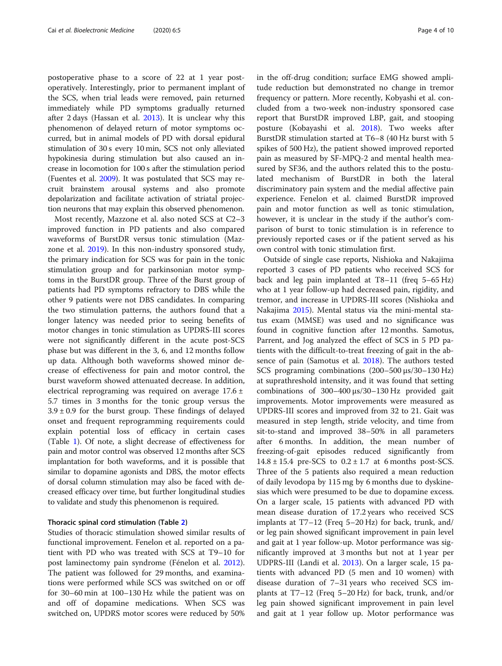postoperative phase to a score of 22 at 1 year postoperatively. Interestingly, prior to permanent implant of the SCS, when trial leads were removed, pain returned immediately while PD symptoms gradually returned after 2 days (Hassan et al. [2013\)](#page-8-0). It is unclear why this phenomenon of delayed return of motor symptoms occurred, but in animal models of PD with dorsal epidural stimulation of 30 s every 10 min, SCS not only alleviated hypokinesia during stimulation but also caused an increase in locomotion for 100 s after the stimulation period (Fuentes et al. [2009](#page-8-0)). It was postulated that SCS may recruit brainstem arousal systems and also promote depolarization and facilitate activation of striatal projection neurons that may explain this observed phenomenon.

Most recently, Mazzone et al. also noted SCS at C2–3 improved function in PD patients and also compared waveforms of BurstDR versus tonic stimulation (Mazzone et al. [2019\)](#page-8-0). In this non-industry sponsored study, the primary indication for SCS was for pain in the tonic stimulation group and for parkinsonian motor symptoms in the BurstDR group. Three of the Burst group of patients had PD symptoms refractory to DBS while the other 9 patients were not DBS candidates. In comparing the two stimulation patterns, the authors found that a longer latency was needed prior to seeing benefits of motor changes in tonic stimulation as UPDRS-III scores were not significantly different in the acute post-SCS phase but was different in the 3, 6, and 12 months follow up data. Although both waveforms showed minor decrease of effectiveness for pain and motor control, the burst waveform showed attenuated decrease. In addition, electrical reprograming was required on average 17.6 ± 5.7 times in 3 months for the tonic group versus the  $3.9 \pm 0.9$  for the burst group. These findings of delayed onset and frequent reprogramming requirements could explain potential loss of efficacy in certain cases (Table [1\)](#page-4-0). Of note, a slight decrease of effectiveness for pain and motor control was observed 12 months after SCS implantation for both waveforms, and it is possible that similar to dopamine agonists and DBS, the motor effects of dorsal column stimulation may also be faced with decreased efficacy over time, but further longitudinal studies to validate and study this phenomenon is required.

## Thoracic spinal cord stimulation (Table [2\)](#page-5-0)

Studies of thoracic stimulation showed similar results of functional improvement. Fenelon et al. reported on a patient with PD who was treated with SCS at T9–10 for post laminectomy pain syndrome (Fénelon et al. [2012](#page-8-0)). The patient was followed for 29 months, and examinations were performed while SCS was switched on or off for 30–60 min at 100–130 Hz while the patient was on and off of dopamine medications. When SCS was switched on, UPDRS motor scores were reduced by 50% in the off-drug condition; surface EMG showed amplitude reduction but demonstrated no change in tremor frequency or pattern. More recently, Kobyashi et al. concluded from a two-week non-industry sponsored case report that BurstDR improved LBP, gait, and stooping posture (Kobayashi et al. [2018](#page-8-0)). Two weeks after BurstDR stimulation started at T6–8 (40 Hz burst with 5 spikes of 500 Hz), the patient showed improved reported pain as measured by SF-MPQ-2 and mental health measured by SF36, and the authors related this to the postulated mechanism of BurstDR in both the lateral discriminatory pain system and the medial affective pain experience. Fenelon et al. claimed BurstDR improved pain and motor function as well as tonic stimulation, however, it is unclear in the study if the author's comparison of burst to tonic stimulation is in reference to previously reported cases or if the patient served as his own control with tonic stimulation first.

Outside of single case reports, Nishioka and Nakajima reported 3 cases of PD patients who received SCS for back and leg pain implanted at T8–11 (freq 5–65 Hz) who at 1 year follow-up had decreased pain, rigidity, and tremor, and increase in UPDRS-III scores (Nishioka and Nakajima [2015](#page-8-0)). Mental status via the mini-mental status exam (MMSE) was used and no significance was found in cognitive function after 12 months. Samotus, Parrent, and Jog analyzed the effect of SCS in 5 PD patients with the difficult-to-treat freezing of gait in the absence of pain (Samotus et al. [2018](#page-8-0)). The authors tested SCS programing combinations (200–500 μs/30–130 Hz) at suprathreshold intensity, and it was found that setting combinations of 300–400 μs/30–130 Hz provided gait improvements. Motor improvements were measured as UPDRS-III scores and improved from 32 to 21. Gait was measured in step length, stride velocity, and time from sit-to-stand and improved 38–50% in all parameters after 6 months. In addition, the mean number of freezing-of-gait episodes reduced significantly from  $14.8 \pm 15.4$  pre-SCS to  $0.2 \pm 1.7$  at 6 months post-SCS. Three of the 5 patients also required a mean reduction of daily levodopa by 115 mg by 6 months due to dyskinesias which were presumed to be due to dopamine excess. On a larger scale, 15 patients with advanced PD with mean disease duration of 17.2 years who received SCS implants at T7–12 (Freq 5–20 Hz) for back, trunk, and/ or leg pain showed significant improvement in pain level and gait at 1 year follow-up. Motor performance was significantly improved at 3 months but not at 1 year per UDPRS-III (Landi et al. [2013](#page-8-0)). On a larger scale, 15 patients with advanced PD (5 men and 10 women) with disease duration of 7–31 years who received SCS implants at T7–12 (Freq 5–20 Hz) for back, trunk, and/or leg pain showed significant improvement in pain level and gait at 1 year follow up. Motor performance was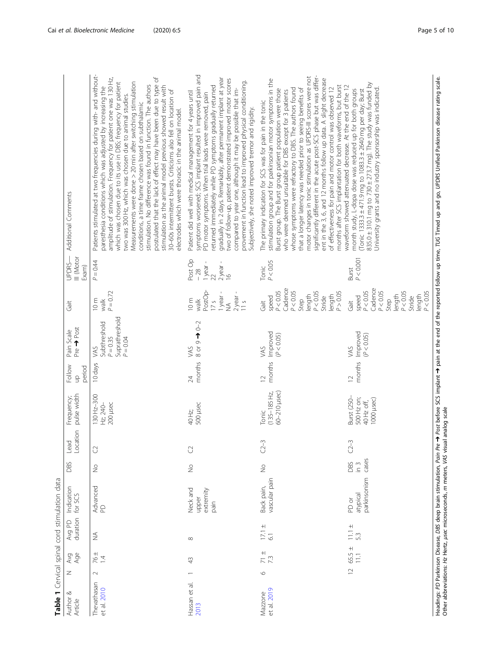<span id="page-4-0"></span>

| Author &<br>Article        | Z              | Avge<br>Age     | Avg PD<br>duration           | Indication<br>for SCS                  | DBS                           | Location<br>Lead    | pulse width<br>Frequency;                             | Follow<br>period<br>qu   | Pre <>>Post<br>Pain Scale                                         | Gait                                                                                                                      | UPDRS-<br>III (Motor<br>Exam                           | Additional Comments                                                                                                                                                                                                                                                                                                                                                                                                                                                                                                                                                                                                                                                                                                                                                                |
|----------------------------|----------------|-----------------|------------------------------|----------------------------------------|-------------------------------|---------------------|-------------------------------------------------------|--------------------------|-------------------------------------------------------------------|---------------------------------------------------------------------------------------------------------------------------|--------------------------------------------------------|------------------------------------------------------------------------------------------------------------------------------------------------------------------------------------------------------------------------------------------------------------------------------------------------------------------------------------------------------------------------------------------------------------------------------------------------------------------------------------------------------------------------------------------------------------------------------------------------------------------------------------------------------------------------------------------------------------------------------------------------------------------------------------|
| Thevathasan<br>et al. 2010 | $\sim$         | $\frac{14}{14}$ | $\stackrel{\triangle}{\geq}$ | Advanced<br>PD                         | $\stackrel{\circ}{\geq}$      | $\circlearrowright$ | 130 Hz-300<br>Hz; 240-<br>200 µsec                    | 10 days                  | Suprathreshold<br>Subthreshold<br>$P = 0.35$<br>$P = 0.04$<br>VAS | $P = 0.72$<br>10m<br>walk                                                                                                 | $P = 0.44$                                             | Patients stimulated at two frequencies during with- and without-<br>postulated that the lack of effect may have been due to type of<br>amplitude of stimulation. Frequency for patient one was 130 Hz,<br>which was chosen due to its use in DBS; frequency for patient<br>Measurements were done > 20 min after switching stimulation<br>stimulation. No difference was found in function. The authors<br>stimulation as the animal model previous showed result with<br>paresthesia conditions which was adjusted by increasing the<br>30-60s intermittent bursts. Criticisms also fell on location of<br>two was 300 Hz, which was chosen due to animal studies.<br>conditions, a time frame chosen based on subthalamic<br>electrodes which were thoracic in the animal model. |
| Hassan et al.<br>2013      |                | $\frac{1}{4}$   | $\infty$                     | Neck and<br>extremity<br>upper<br>pain | $\frac{1}{2}$                 | $\mathcal{C}$       | 500 µsec<br>40 Hz                                     | months<br>24             | 8 or 9 > 0-2<br>VAS                                               | PostOp-<br>1 year -<br>$2$ year -<br>11 s<br>17s<br>10m<br>walk<br>$\tilde{\geq}$                                         | Post Op<br>$\frac{1}{22}$<br>$2$ year -<br>16<br>$-28$ | symptoms worsened; SCS implant resulted in improved pain and<br>gradually in 2 days. Remarkably, after permanent implant at year<br>two of follow-up, patient demonstrated improved motor scores<br>provement in function lead to improved physical conditioning.<br>returned immediately while PD symptoms gradually returned<br>compared to year one, although it may be possible that im-<br>Patient did well with medical management for 4 years until<br>PD motor symptoms. When trial leads were removed, pain<br>Subjectively, she noted improved tremor and rigidity.                                                                                                                                                                                                      |
| et al. 2019<br>Mazzone     | $\circ$        | $\frac{1}{7}$   | $\frac{17.1 \pm}{6.1}$       | vascular pain<br>Back pain,            | $\frac{1}{2}$                 | $C2 - 3$            | 60-210 µsec)<br>$(135 - 185$ Hz<br>Tonic              | months<br>$\overline{2}$ | Improved<br>(P < 0.05)<br>VAS                                     | $P < 0.05$<br>Cadence<br>P < 0.05<br>$P < 0.05$<br>Stride<br>P > 0.05<br>length<br>length<br>speed<br>Step<br><b>Gait</b> | P < 0.05<br>Tonic                                      | significantly different in the acute post-SCS phase but was differ-<br>motor changes in tonic stimulation as UPDRS-III scores were not<br>ent in the 3, 6, and 12 months follow up data. A slight decrease<br>stimulation group and for parkinsonian motor symptoms in the<br>months after SCS implantation for both waveforms, but burst<br>of effectiveness for pain and motor control was observed 12<br>whose symptoms were refractory to DBS. The authors found<br>that a longer latency was needed prior to seeing benefits of<br>Burst group. The Burst group patient population were those<br>who were deemed unsuitable for DBS except for 3 patients<br>The primary indication for SCS was for pain in the tonic                                                         |
|                            | $\overline{C}$ | $65.5 \pm 11.1$ | $11.1 \pm 5.3$               | parkinsonism<br>atypical<br>PD or      | cases<br>DBS<br>$\frac{3}{2}$ | $C2 - 3$            | Burst (250-<br>500 Hz on;<br>1000 µsec)<br>40 Hz off, | months<br>$\supseteq$    | Improved<br>(P < 0.05)<br>VAS                                     | Cadence<br>P < 0.05<br>P < 0.05<br>P < 0.05<br>P < 0.05<br>length<br>length<br>speed<br>Stride<br>Step<br>Gait            | P < 0.001<br>Burst                                     | $835.0 \pm 310.1$ mg to $730 \pm 273.7$ mg). The study was funded by<br>waveform showed attenuated decrease. At the end of the 12<br>Jniversity grants and no industry sponsorship was indicated.<br>month study, L-dopa dose was reduced up for both groups<br>Tonic 1333.3 ± 471.9 mg to 1083.3 ± 2640 mg per day; Burst                                                                                                                                                                                                                                                                                                                                                                                                                                                         |
|                            |                |                 |                              |                                        |                               |                     |                                                       |                          |                                                                   |                                                                                                                           |                                                        |                                                                                                                                                                                                                                                                                                                                                                                                                                                                                                                                                                                                                                                                                                                                                                                    |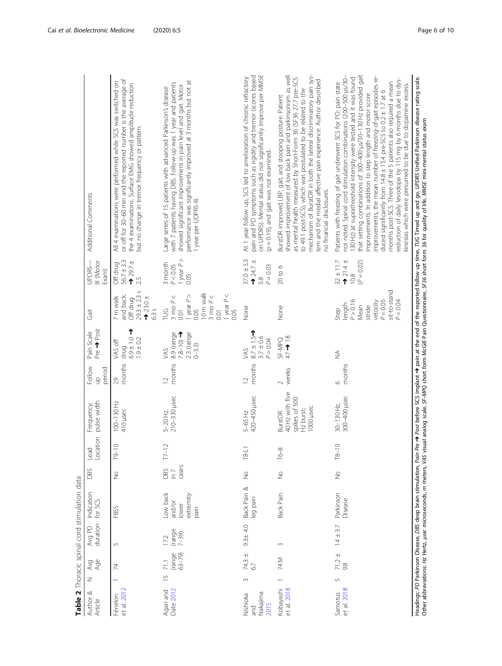<span id="page-5-0"></span>

| Author &<br>Article                 | z              | Avge<br>Age              | Avg PD<br>duration           | Indication<br>for SCS                            | DBS                  | Location<br>Lead | pulse width<br>Frequency;                                                    | Follow<br>period<br>$\frac{\Omega}{\Omega}$ | Pre<br>Pre<br>Post<br>Pain Scale                        | Gait                                                                                                               | III (Motor<br>UPDRS-<br>Exam)                                           | Additional Comments                                                                                                                                                                                                                                                                                                                                                                                                                                                                                                                                                                                                                                                            |
|-------------------------------------|----------------|--------------------------|------------------------------|--------------------------------------------------|----------------------|------------------|------------------------------------------------------------------------------|---------------------------------------------|---------------------------------------------------------|--------------------------------------------------------------------------------------------------------------------|-------------------------------------------------------------------------|--------------------------------------------------------------------------------------------------------------------------------------------------------------------------------------------------------------------------------------------------------------------------------------------------------------------------------------------------------------------------------------------------------------------------------------------------------------------------------------------------------------------------------------------------------------------------------------------------------------------------------------------------------------------------------|
| et al. 2012<br>Fénelon              |                | $\overline{z}$           | $\sqrt{2}$                   | FBSS                                             | $\frac{1}{2}$        | $\circ$<br>$-61$ | 100-130 Hz<br>410 µsec                                                       | months<br>29                                | $10.1 + 0.0$<br>$1.9 \pm 0.2$<br>VAS off<br>drug        | $29.3 \pm 2.3 s$<br>and back.<br>$\rightarrow$ 23.0 $\pm$<br>7 m walk<br>Off drug<br>6.35                          | $56.7 \pm 3.3$<br>$729.7 \pm$<br>Off drug<br>2.5                        | or off for 30-60 min and the reported number is the average of<br>All 4 examinations were performed while SCS was switched on<br>the 4 examinations. Surface EMG showed amplitude reduction<br>but no change in tremor frequency or pattern.                                                                                                                                                                                                                                                                                                                                                                                                                                   |
| Agari and<br>Date 2012              | $\frac{15}{2}$ | $frac{1}{63-79}$<br>71.1 | $^{(range)}_{7-39)}$<br>17.2 | Low back<br>extremity<br>and/or<br>lower<br>pain | cases<br>L 91<br>S80 | $\sim$<br>$T7-1$ | 210-330 µsec<br>$5 - 20$ Hz,                                                 | months<br>$\overline{C}$                    | 2.3 (range<br>8.9 (range<br>$78-10$<br>$0 - 3.3$<br>VAS | I0 m walk<br>1 year $P <$<br>year P<br>3 mo $P <$<br>3 mo $P <$<br>0.05<br>PUG<br>0.01<br>$\overline{0}$ .<br>0.05 | 1 year $P$ ><br>3 month<br>$P < 0.05$<br>0.05                           | performance was significantly improved at 3 months but not at<br>with 7 patients having DBS. Follow-up was 1 year and patients<br>showed significant improvement in pain level and gait. Motor<br>Large series of 15 patients with advanced Parkinson's disease<br>I year per UDPRS-III.                                                                                                                                                                                                                                                                                                                                                                                       |
| Nakajima<br>Nishioka<br>2015<br>and | $\sim$         | 74.3 $\pm$<br>67         | $9.3 \pm 4.0$                | Back Pain &<br>eg pain                           | $\frac{1}{2}$        | $\overline{18}$  | 420-450 µsec<br>5-65 Hz                                                      | months<br>$\approx$                         | $87 + 15$<br>$3.7 \pm 0.6$<br>$P = 0.04$<br>VAS         | None                                                                                                               | $37.0 \pm 5.3$<br>$+24.7±$<br>$P = 0.03$<br>5.8                         | on UPDRS). Mental status did not significantly improve per MMSE<br>pain and PD symptoms such as rigidity and tremor (scores based<br>At 1 year follow up, SCS led to amelioration of chronic refractory<br>$(p = 0.19)$ , and gait was not examined.                                                                                                                                                                                                                                                                                                                                                                                                                           |
| et al. 2018<br>Kobayashi            |                | 74 M                     | $\sim$                       | Back Pain                                        | $\frac{1}{2}$        | $T6 - 8$         | 40 Hz with five<br>spikes of 500<br>1000 µsec<br>Hz burst;<br><b>BurstDR</b> | weeks<br>$\sim$                             | 47 → 18<br>SF-MPQ                                       | None                                                                                                               | $20$ to $6$                                                             | mechanism of BurstDR in both the lateral discriminatory pain sys-<br>showed improvement of low back pain and parkinsonism as well<br>as mental health measured by Short-Form 36 (SF36 27.7 pre-SCS<br>tem and the medial affective pain experience. Author described<br>to 49.1 post-SCS), which was postulated to be related to the<br>BurstDR improved LBP, gait, and stooping posture. Patient<br>no financial disclosures.                                                                                                                                                                                                                                                 |
| et al. 2018<br>Samotus              | 5              | $71.2 \pm$<br>98         | $14 \pm 3.7$                 | Parkinson<br>Disease                             | $\frac{1}{2}$        | $T8 - 10$        | 300-400 µsec<br>30-130 Hz,                                                   | months<br>9                                 | $\widetilde{\geq}$                                      | sit-to-stand<br>$P = 0.04$<br>P > 0.16<br>$P = 0.05$<br>velocity<br>length<br>Mean<br>stride<br>Step               | $\frac{1}{2}$<br>$\frac{4}{4}$<br>$32 \pm 11.7$<br>$(P = 0.02)$<br>10.8 | that setting combinations of 300-400 µs/30-130 Hz provided gait<br>not noted. Spinal cord stimulation combinations (200-500 µs/30-<br>mprovements, the mean number of freezing-of-gait episodes re-<br>30 Hz) at suprathreshold intensity were tested and it was found<br>reduction of daily levodopa by 115 mg by 6 months due to dys-<br>months post-SCS. Three of the 5 patients also required a mean<br>Patients with freezing of gait underwent SCS for PD; pain state<br>kinesias which were presumed to be due to dopamine excess.<br>duced significantly from $14.8 \pm 15.4$ pre-SCS to $0.2 \pm 1.7$ at 6<br>mprovements. In addition to step length and motor score |
|                                     |                |                          |                              |                                                  |                      |                  |                                                                              |                                             |                                                         |                                                                                                                    |                                                                         | Headings: PD Parkinson Disease, DBS deep brain stimulation, Pain of the 1901 of the inglant $\rightarrow$ Post before SCS implant $\rightarrow$ Post before SCS implant $\rightarrow$ Papian of the reported follow up time, TUG Timed up and go, UPDRS U<br>Other abbreviations: Hz Hertz, usec microseconds, m meters, VAS visual analog scale, SF-MPQ short form McGill Pain Questionnaire, SF36 short form 36 for quality of life, MMSE mini-mental status exam                                                                                                                                                                                                            |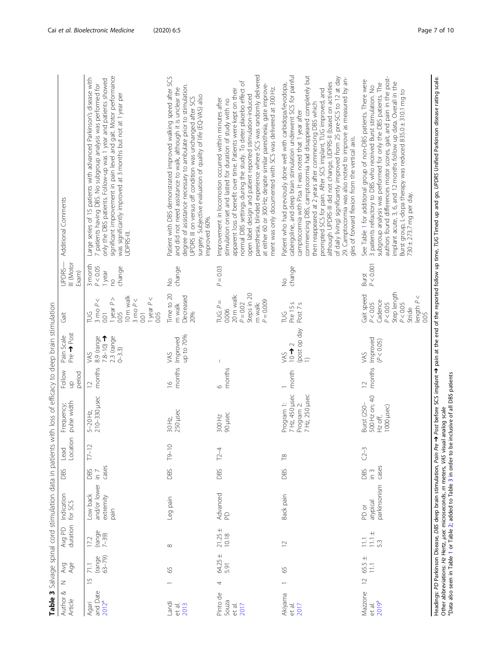| ¢                                                            |
|--------------------------------------------------------------|
| i                                                            |
| j<br>١                                                       |
| Ş                                                            |
| $\ddot{\phantom{a}}$<br>l<br>j<br>Ï                          |
| $\overline{\phantom{a}}$<br>Ż<br>š                           |
| )<br>)<br>)<br>I<br>5<br>٦<br>I                              |
| $\frac{1}{2}$<br>$\frac{1}{2}$                               |
| )<br>S<br>J<br>j<br>i                                        |
| $\overline{C}$ $\overline{C}$                                |
| J<br>-<br>$\lambda$                                          |
| י<br>ג<br>Ì                                                  |
| :<br>ś                                                       |
| $m + c$                                                      |
| ā<br>ו+רמ מו ה+ר                                             |
|                                                              |
| )<br>S<br>j<br>Ĩ                                             |
| $\mathbf{r}$                                                 |
| ֖֖֖֖֖֖֖֧ׅ֖֪֪֪ׅ֖֧֧֪֪֪֪֪֪֪֪֪֪֧֚֚֚֚֚֚֚֚֚֚֚֚֚֚֚֚֚֚֚֚֚֚֬֝֝֝֝֓֝֓֞֝ |
| $-1$<br>I                                                    |
| 5<br>Ĭ                                                       |
| C<br>١<br>j<br>j                                             |
| המומי המו<br>$\frac{1}{2}$<br>٦                              |
|                                                              |
| ĵ<br>$\overline{ }$<br>í                                     |
| ļ<br>$\overline{ }$                                          |
| $\overline{\mathcal{S}}$                                     |
|                                                              |
| able 3                                                       |
| ŀ                                                            |

<span id="page-6-0"></span>

| Additional Comments               | significant improvement in pain level and gait. Motor performance<br>Large series of 15 patients with advanced Parkinson's disease with<br>only the DBS patients. Follow-up was 1 year and patients showed<br>7 patients having DBS. No subgroup analysis was performed for<br>was significantly improved at 3 months but not at 1 year per<br>UDPRS-III. | Patient with DBS demonstrated improved walking speed after SCS<br>degree of assistance necessary to ambulate prior to stimulation.<br>and did not need assistance to walk, although it is unclear the<br>surgery. Subjective evaluation of quality of life (EQ-VAS) also<br>JPDRS III on versus off condition was unchanged after SCS<br>mproved 60%. | paresthesia, blinded experience where SCS was randomly delivered<br>normal DBS settings during the study. To deter placebo effect of<br>at either 60 or 300 Hz; despite similar paresthesia, gate improve-<br>ment was only documented with SCS was delivered at 300 Hz.<br>apparent loss of benefit over time. Patients were kept on their<br>open label design and patient reported stimulation-induced<br>Improvement in locomotion occurred within minutes after<br>stimulation onset and lasted for duration of study with no | cabergoline, and deep brain stimulation underwent SCS for painful<br>commencing DBS, camptocormia had disappeared completely but<br>of daily living) significantly improved from 25 pre-SCS to 12 at day<br>29. Camptocormia was also noted to improve as measured by an-<br>although UPDRS-III did not change, UDPRS-II (based on activities<br>Patient who had previously done well with carbidopa/levodopa,<br>prompted SCS for pain. After SCS implant, TUG improved, and<br>then reappeared at 2 years after commencing DBS which<br>camptocormia with Pisa. It was noted that 1 year after<br>gles of forward flexion from the vertical axis. | authors found differences motor scores, gait, and pain in the post-<br>Pre → Post before SCS implant → pain at the end of the reported follow up time, TUG Timed up and go, UPDRS Unified Parkinson disease rating scale.<br>See Table 1 for additional group of non-DBS patients. There were<br>implant acute, 3, 6, and 12 months follow up data. Overall in the<br>subgroup analysis was performed for only the DBS patients. The<br>3 patients refractory to DBS who received Burst stimulation. No<br>Burst group, L-dopa therapy was reduced 835.0 ± 310.1 mg to<br>730 ± 273.7 mg per day. |                                                                                                                  |
|-----------------------------------|-----------------------------------------------------------------------------------------------------------------------------------------------------------------------------------------------------------------------------------------------------------------------------------------------------------------------------------------------------------|-------------------------------------------------------------------------------------------------------------------------------------------------------------------------------------------------------------------------------------------------------------------------------------------------------------------------------------------------------|------------------------------------------------------------------------------------------------------------------------------------------------------------------------------------------------------------------------------------------------------------------------------------------------------------------------------------------------------------------------------------------------------------------------------------------------------------------------------------------------------------------------------------|-----------------------------------------------------------------------------------------------------------------------------------------------------------------------------------------------------------------------------------------------------------------------------------------------------------------------------------------------------------------------------------------------------------------------------------------------------------------------------------------------------------------------------------------------------------------------------------------------------------------------------------------------------|---------------------------------------------------------------------------------------------------------------------------------------------------------------------------------------------------------------------------------------------------------------------------------------------------------------------------------------------------------------------------------------------------------------------------------------------------------------------------------------------------------------------------------------------------------------------------------------------------|------------------------------------------------------------------------------------------------------------------|
| III (Motor<br>UPDRS-<br>Exam)     | 3 month<br>P < 0.05<br>change<br>1year<br>$\overline{c}$                                                                                                                                                                                                                                                                                                  | change<br>$\frac{1}{2}$                                                                                                                                                                                                                                                                                                                               | $P = 0.03$                                                                                                                                                                                                                                                                                                                                                                                                                                                                                                                         | change<br>$\frac{1}{2}$                                                                                                                                                                                                                                                                                                                                                                                                                                                                                                                                                                                                                             | P < 0.001<br>Burst                                                                                                                                                                                                                                                                                                                                                                                                                                                                                                                                                                                |                                                                                                                  |
| Gait                              | 10 <sub>m</sub> walk<br>1 year $P <$<br>1 year $P$ ><br>3 mo $P <$<br>$\rho$ $\prec$<br>$3 \text{ mo}$<br>0.05<br>PUS<br>0.01<br>0.01<br>0.05                                                                                                                                                                                                             | Time to 20<br>Decreased<br>m walk<br>20%                                                                                                                                                                                                                                                                                                              | Steps in 20<br>20 m walk:<br>$P = 0.009$<br>TUG: $P =$<br>$P = 0.02$<br>m walk:<br>0.006                                                                                                                                                                                                                                                                                                                                                                                                                                           | Pre 15s<br>Post 7 s<br>PUG                                                                                                                                                                                                                                                                                                                                                                                                                                                                                                                                                                                                                          | Step length<br>Gait speed<br>length $P <$<br>Cadence<br>P < 0.05<br>P < 0.05<br>P < 0.05<br>Stride<br>0.05                                                                                                                                                                                                                                                                                                                                                                                                                                                                                        |                                                                                                                  |
| Pre <> Post<br>Pain Scale         | 8.9 (range<br>$7.8 - 10$<br>2.3 (range<br>$0 - 3.3$<br>VAS                                                                                                                                                                                                                                                                                                | up to 70%<br>Improved<br>VAS                                                                                                                                                                                                                                                                                                                          |                                                                                                                                                                                                                                                                                                                                                                                                                                                                                                                                    | (post op day<br>$\frac{1}{2}$<br>VAS<br>$\Rightarrow$                                                                                                                                                                                                                                                                                                                                                                                                                                                                                                                                                                                               | Improved<br>(P < 0.05)<br>SAV                                                                                                                                                                                                                                                                                                                                                                                                                                                                                                                                                                     |                                                                                                                  |
| Follow<br>period<br>$\frac{1}{2}$ | months<br>$\supseteq$                                                                                                                                                                                                                                                                                                                                     | months<br>$\frac{6}{1}$                                                                                                                                                                                                                                                                                                                               | months<br>$\circ$                                                                                                                                                                                                                                                                                                                                                                                                                                                                                                                  | month                                                                                                                                                                                                                                                                                                                                                                                                                                                                                                                                                                                                                                               | months<br>$\overline{C}$                                                                                                                                                                                                                                                                                                                                                                                                                                                                                                                                                                          |                                                                                                                  |
| pulse width<br>Frequency;         | 210-330 µsec<br>$5 - 20$ Hz,                                                                                                                                                                                                                                                                                                                              | 250 µsec<br>30 Hz,                                                                                                                                                                                                                                                                                                                                    | 90 µsec<br>300 Hz                                                                                                                                                                                                                                                                                                                                                                                                                                                                                                                  | 7 Hz, 450 µsec<br>7 Hz, 250 µsec<br>Program 1:<br>Program 2:                                                                                                                                                                                                                                                                                                                                                                                                                                                                                                                                                                                        | 500 Hz on; 40<br>Burst (250-<br>1000 µsec)<br>Hz off,                                                                                                                                                                                                                                                                                                                                                                                                                                                                                                                                             | <sup>a</sup> Data also seen in Table 1 or Table 2; added to Table 3 in order to be inclusive of all DBS patients |
| Location<br>Lead                  | $T7-12$                                                                                                                                                                                                                                                                                                                                                   | $T9 - 10$                                                                                                                                                                                                                                                                                                                                             | $T2-4$                                                                                                                                                                                                                                                                                                                                                                                                                                                                                                                             | $\stackrel{\infty}{\mathbb{P}}$                                                                                                                                                                                                                                                                                                                                                                                                                                                                                                                                                                                                                     | $C2 - 3$                                                                                                                                                                                                                                                                                                                                                                                                                                                                                                                                                                                          |                                                                                                                  |
| DBS                               | cases<br>DBS<br>$\bar{m}$                                                                                                                                                                                                                                                                                                                                 | <b>DBS</b>                                                                                                                                                                                                                                                                                                                                            | DBS                                                                                                                                                                                                                                                                                                                                                                                                                                                                                                                                | <b>DBS</b>                                                                                                                                                                                                                                                                                                                                                                                                                                                                                                                                                                                                                                          | cases<br>DBS<br>$\sum_{i=1}^{n}$                                                                                                                                                                                                                                                                                                                                                                                                                                                                                                                                                                  |                                                                                                                  |
| Indication<br>duration for SCS    | and/or lower<br>Low back<br>extremity<br>pain                                                                                                                                                                                                                                                                                                             | Leg pain                                                                                                                                                                                                                                                                                                                                              | Advanced<br>PD                                                                                                                                                                                                                                                                                                                                                                                                                                                                                                                     | Back pain                                                                                                                                                                                                                                                                                                                                                                                                                                                                                                                                                                                                                                           | Headings: PD Parkinson Disease, DBS deep brain stimulation, Pain<br>parkinsonism<br>atypical<br>PD or                                                                                                                                                                                                                                                                                                                                                                                                                                                                                             | Other abbreviations: Hz Hertz, usec microseconds, m meters, VAS visual analog scale                              |
| Avg PD                            | (range<br>$7 - 39$<br>17.2                                                                                                                                                                                                                                                                                                                                | $\infty$                                                                                                                                                                                                                                                                                                                                              | $21.25 \pm 10.18$                                                                                                                                                                                                                                                                                                                                                                                                                                                                                                                  | $\overline{1}$                                                                                                                                                                                                                                                                                                                                                                                                                                                                                                                                                                                                                                      | $11.1 \pm 5.3$<br>$\overline{111}$                                                                                                                                                                                                                                                                                                                                                                                                                                                                                                                                                                |                                                                                                                  |
| Avge<br>Age                       | $63 - 79$<br>(range<br>71.1                                                                                                                                                                                                                                                                                                                               | 59                                                                                                                                                                                                                                                                                                                                                    | 64.25 ±<br>5.91                                                                                                                                                                                                                                                                                                                                                                                                                                                                                                                    | 59                                                                                                                                                                                                                                                                                                                                                                                                                                                                                                                                                                                                                                                  | 65.5 $\pm$<br>$\frac{1}{1}$                                                                                                                                                                                                                                                                                                                                                                                                                                                                                                                                                                       |                                                                                                                  |
| Z                                 | $\overline{5}$                                                                                                                                                                                                                                                                                                                                            |                                                                                                                                                                                                                                                                                                                                                       | 4                                                                                                                                                                                                                                                                                                                                                                                                                                                                                                                                  |                                                                                                                                                                                                                                                                                                                                                                                                                                                                                                                                                                                                                                                     | $\supseteq$                                                                                                                                                                                                                                                                                                                                                                                                                                                                                                                                                                                       |                                                                                                                  |
| Author &<br>Article               | and Date<br>$2012^a$<br>Agari                                                                                                                                                                                                                                                                                                                             | Landi<br>et al.<br>2013                                                                                                                                                                                                                                                                                                                               | Pinto de<br>Souza<br>et al.<br>2017                                                                                                                                                                                                                                                                                                                                                                                                                                                                                                | Akiyama<br>et al.<br>2017                                                                                                                                                                                                                                                                                                                                                                                                                                                                                                                                                                                                                           | Mazzone<br>2019 <sup>a</sup><br>et al.                                                                                                                                                                                                                                                                                                                                                                                                                                                                                                                                                            |                                                                                                                  |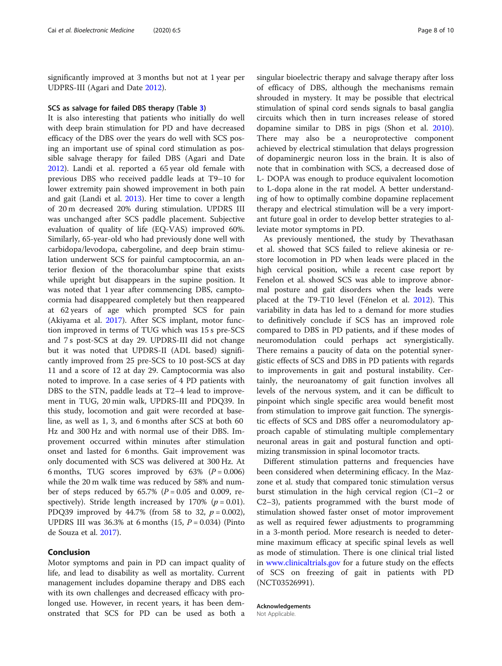significantly improved at 3 months but not at 1 year per UDPRS-III (Agari and Date [2012\)](#page-8-0).

#### SCS as salvage for failed DBS therapy (Table [3\)](#page-6-0)

It is also interesting that patients who initially do well with deep brain stimulation for PD and have decreased efficacy of the DBS over the years do well with SCS posing an important use of spinal cord stimulation as possible salvage therapy for failed DBS (Agari and Date [2012](#page-8-0)). Landi et al. reported a 65 year old female with previous DBS who received paddle leads at T9–10 for lower extremity pain showed improvement in both pain and gait (Landi et al. [2013](#page-8-0)). Her time to cover a length of 20 m decreased 20% during stimulation. UPDRS III was unchanged after SCS paddle placement. Subjective evaluation of quality of life (EQ-VAS) improved 60%. Similarly, 65-year-old who had previously done well with carbidopa/levodopa, cabergoline, and deep brain stimulation underwent SCS for painful camptocormia, an anterior flexion of the thoracolumbar spine that exists while upright but disappears in the supine position. It was noted that 1 year after commencing DBS, camptocormia had disappeared completely but then reappeared at 62 years of age which prompted SCS for pain (Akiyama et al. [2017](#page-8-0)). After SCS implant, motor function improved in terms of TUG which was 15 s pre-SCS and 7 s post-SCS at day 29. UPDRS-III did not change but it was noted that UPDRS-II (ADL based) significantly improved from 25 pre-SCS to 10 post-SCS at day 11 and a score of 12 at day 29. Camptocormia was also noted to improve. In a case series of 4 PD patients with DBS to the STN, paddle leads at T2–4 lead to improvement in TUG, 20 min walk, UPDRS-III and PDQ39. In this study, locomotion and gait were recorded at baseline, as well as 1, 3, and 6 months after SCS at both 60 Hz and 300 Hz and with normal use of their DBS. Improvement occurred within minutes after stimulation onset and lasted for 6 months. Gait improvement was only documented with SCS was delivered at 300 Hz. At 6 months, TUG scores improved by  $63\%$  ( $P = 0.006$ ) while the 20 m walk time was reduced by 58% and number of steps reduced by  $65.7\%$  ( $P = 0.05$  and 0.009, respectively). Stride length increased by 170% ( $p = 0.01$ ). PDQ39 improved by 44.7% (from 58 to 32,  $p = 0.002$ ), UPDRS III was  $36.3\%$  at 6 months (15,  $P = 0.034$ ) (Pinto de Souza et al. [2017\)](#page-8-0).

## Conclusion

Motor symptoms and pain in PD can impact quality of life, and lead to disability as well as mortality. Current management includes dopamine therapy and DBS each with its own challenges and decreased efficacy with prolonged use. However, in recent years, it has been demonstrated that SCS for PD can be used as both a singular bioelectric therapy and salvage therapy after loss of efficacy of DBS, although the mechanisms remain shrouded in mystery. It may be possible that electrical stimulation of spinal cord sends signals to basal ganglia circuits which then in turn increases release of stored dopamine similar to DBS in pigs (Shon et al. [2010](#page-8-0)). There may also be a neuroprotective component achieved by electrical stimulation that delays progression of dopaminergic neuron loss in the brain. It is also of note that in combination with SCS, a decreased dose of L- DOPA was enough to produce equivalent locomotion to L-dopa alone in the rat model. A better understanding of how to optimally combine dopamine replacement therapy and electrical stimulation will be a very important future goal in order to develop better strategies to alleviate motor symptoms in PD.

As previously mentioned, the study by Thevathasan et al. showed that SCS failed to relieve akinesia or restore locomotion in PD when leads were placed in the high cervical position, while a recent case report by Fenelon et al. showed SCS was able to improve abnormal posture and gait disorders when the leads were placed at the T9-T10 level (Fénelon et al. [2012](#page-8-0)). This variability in data has led to a demand for more studies to definitively conclude if SCS has an improved role compared to DBS in PD patients, and if these modes of neuromodulation could perhaps act synergistically. There remains a paucity of data on the potential synergistic effects of SCS and DBS in PD patients with regards to improvements in gait and postural instability. Certainly, the neuroanatomy of gait function involves all levels of the nervous system, and it can be difficult to pinpoint which single specific area would benefit most from stimulation to improve gait function. The synergistic effects of SCS and DBS offer a neuromodulatory approach capable of stimulating multiple complementary neuronal areas in gait and postural function and optimizing transmission in spinal locomotor tracts.

Different stimulation patterns and frequencies have been considered when determining efficacy. In the Mazzone et al. study that compared tonic stimulation versus burst stimulation in the high cervical region (C1–2 or C2–3), patients programmed with the burst mode of stimulation showed faster onset of motor improvement as well as required fewer adjustments to programming in a 3-month period. More research is needed to determine maximum efficacy at specific spinal levels as well as mode of stimulation. There is one clinical trial listed in [www.clinicaltrials.gov](http://www.clinicaltrials.gov) for a future study on the effects of SCS on freezing of gait in patients with PD (NCT03526991).

Acknowledgements

Not Applicable.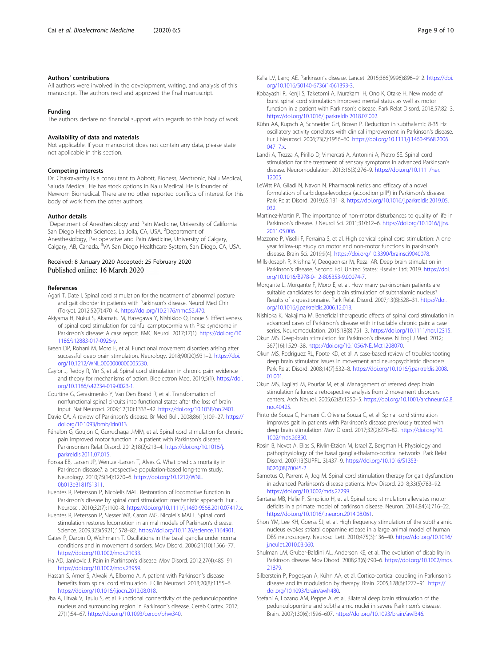#### <span id="page-8-0"></span>Authors' contributions

All authors were involved in the development, writing, and analysis of this manuscript. The authors read and approved the final manuscript.

#### Funding

The authors declare no financial support with regards to this body of work.

#### Availability of data and materials

Not applicable. If your manuscript does not contain any data, please state not applicable in this section.

#### Competing interests

Dr. Chakravarthy is a consultant to Abbott, Bioness, Medtronic, Nalu Medical, Saluda Medical. He has stock options in Nalu Medical. He is founder of Newrom Biomedical. There are no other reported conflicts of interest for this body of work from the other authors.

#### Author details

<sup>1</sup>Department of Anesthesiology and Pain Medicine, University of California San Diego Health Sciences, La Jolla, CA, USA. <sup>2</sup>Department of Anesthesiology, Perioperative and Pain Medicine, University of Calgary, Calgary, AB, Canada. <sup>3</sup>VA San Diego Healthcare System, San Diego, CA, USA.

# Received: 8 January 2020 Accepted: 25 February 2020 Published online: 16 March 2020

#### References

- Agari T, Date I. Spinal cord stimulation for the treatment of abnormal posture and gait disorder in patients with Parkinson's disease. Neurol Med Chir (Tokyo). 2012;52(7):470–4. <https://doi.org/10.2176/nmc.52.470>.
- Akiyama H, Nukui S, Akamatu M, Hasegawa Y, Nishikido O, Inoue S. Effectiveness of spinal cord stimulation for painful camptocormia with Pisa syndrome in Parkinson's disease: A case report. BMC Neurol. 2017;17(1). [https://doi.org/10.](https://doi.org/10.1186/s12883-017-0926-y) [1186/s12883-017-0926-y.](https://doi.org/10.1186/s12883-017-0926-y)
- Breen DP, Rohani M, Moro E, et al. Functional movement disorders arising after successful deep brain stimulation. Neurology. 2018;90(20):931–2. [https://doi.](https://doi.org/10.1212/WNL.0000000000005530) [org/10.1212/WNL.0000000000005530](https://doi.org/10.1212/WNL.0000000000005530).
- Caylor J, Reddy R, Yin S, et al. Spinal cord stimulation in chronic pain: evidence and theory for mechanisms of action. Bioelectron Med. 2019;5(1). [https://doi.](https://doi.org/10.1186/s42234-019-0023-1) [org/10.1186/s42234-019-0023-1](https://doi.org/10.1186/s42234-019-0023-1).
- Courtine G, Gerasimenko Y, Van Den Brand R, et al. Transformation of nonfunctional spinal circuits into functional states after the loss of brain input. Nat Neurosci. 2009;12(10):1333–42. <https://doi.org/10.1038/nn.2401>.
- Davie CA. A review of Parkinson's disease. Br Med Bull. 2008;86(1):109–27. [https://](https://doi.org/10.1093/bmb/ldn013) [doi.org/10.1093/bmb/ldn013.](https://doi.org/10.1093/bmb/ldn013)
- Fénelon G, Goujon C, Gurruchaga J-MM, et al. Spinal cord stimulation for chronic pain improved motor function in a patient with Parkinson's disease. Parkinsonism Relat Disord. 2012;18(2):213–4. [https://doi.org/10.1016/j.](https://doi.org/10.1016/j.parkreldis.2011.07.015) [parkreldis.2011.07.015](https://doi.org/10.1016/j.parkreldis.2011.07.015).
- Forsaa EB, Larsen JP, Wentzel-Larsen T, Alves G. What predicts mortality in Parkinson disease?: a prospective population-based long-term study. Neurology. 2010;75(14):1270–6. [https://doi.org/10.1212/WNL.](https://doi.org/10.1212/WNL.0b013e3181f61311) [0b013e3181f61311](https://doi.org/10.1212/WNL.0b013e3181f61311).
- Fuentes R, Petersson P, Nicolelis MAL. Restoration of locomotive function in Parkinson's disease by spinal cord stimulation: mechanistic approach. Eur J Neurosci. 2010;32(7):1100–8. <https://doi.org/10.1111/j.1460-9568.2010.07417.x>.
- Fuentes R, Petersson P, Siesser WB, Caron MG, Nicolelis MALL. Spinal cord stimulation restores locomotion in animal models of Parkinson's disease.
- Science. 2009;323(5921):1578–82. [https://doi.org/10.1126/science.1164901.](https://doi.org/10.1126/science.1164901) Gatev P, Darbin O, Wichmann T. Oscillations in the basal ganglia under normal conditions and in movement disorders. Mov Disord. 2006;21(10):1566–77. <https://doi.org/10.1002/mds.21033>.
- Ha AD, Jankovic J. Pain in Parkinson's disease. Mov Disord. 2012;27(4):485–91. <https://doi.org/10.1002/mds.23959>.
- Hassan S, Amer S, Alwaki A, Elborno A. A patient with Parkinson's disease benefits from spinal cord stimulation. J Clin Neurosci. 2013;20(8):1155–6. <https://doi.org/10.1016/j.jocn.2012.08.018>.
- Jha A, Litvak V, Taulu S, et al. Functional connectivity of the pedunculopontine nucleus and surrounding region in Parkinson's disease. Cereb Cortex. 2017; 27(1):54–67. [https://doi.org/10.1093/cercor/bhw340.](https://doi.org/10.1093/cercor/bhw340)
- Kalia LV, Lang AE. Parkinson's disease. Lancet. 2015;386(9996):896–912. [https://doi.](https://doi.org/10.1016/S0140-6736(14)61393-3) [org/10.1016/S0140-6736\(14\)61393-3.](https://doi.org/10.1016/S0140-6736(14)61393-3)
- Kobayashi R, Kenji S, Taketomi A, Murakami H, Ono K, Otake H. New mode of burst spinal cord stimulation improved mental status as well as motor function in a patient with Parkinson's disease. Park Relat Disord. 2018;57:82–3. [https://doi.org/10.1016/j.parkreldis.2018.07.002.](https://doi.org/10.1016/j.parkreldis.2018.07.002)
- Kühn AA, Kupsch A, Schneider GH, Brown P. Reduction in subthalamic 8-35 Hz oscillatory activity correlates with clinical improvement in Parkinson's disease. Eur J Neurosci. 2006;23(7):1956–60. [https://doi.org/10.1111/j.1460-9568.2006.](https://doi.org/10.1111/j.1460-9568.2006.04717.x) [04717.x](https://doi.org/10.1111/j.1460-9568.2006.04717.x).
- Landi A, Trezza A, Pirillo D, Vimercati A, Antonini A, Pietro SE. Spinal cord stimulation for the treatment of sensory symptoms in advanced Parkinson's disease. Neuromodulation. 2013;16(3):276–9. [https://doi.org/10.1111/ner.](https://doi.org/10.1111/ner.12005) [12005.](https://doi.org/10.1111/ner.12005)
- LeWitt PA, Giladi N, Navon N. Pharmacokinetics and efficacy of a novel formulation of carbidopa-levodopa (accordion pill®) in Parkinson's disease. Park Relat Disord. 2019;65:131–8. [https://doi.org/10.1016/j.parkreldis.2019.05.](https://doi.org/10.1016/j.parkreldis.2019.05.032) [032.](https://doi.org/10.1016/j.parkreldis.2019.05.032)
- Martinez-Martin P. The importance of non-motor disturbances to quality of life in Parkinson's disease. J Neurol Sci. 2011;310:12–6. [https://doi.org/10.1016/j.jns.](https://doi.org/10.1016/j.jns.2011.05.006) [2011.05.006.](https://doi.org/10.1016/j.jns.2011.05.006)
- Mazzone P, Viselli F, Ferraina S, et al. High cervical spinal cord stimulation: A one year follow-up study on motor and non-motor functions in parkinson's disease. Brain Sci. 2019;9(4). <https://doi.org/10.3390/brainsci9040078>.
- Mills-Joseph R, Krishna V, Deogaonkar M, Rezai AR. Deep brain stimulation in Parkinson's disease. Second Edi. United States: Elsevier Ltd; 2019. [https://doi.](https://doi.org/10.1016/B978-0-12-805353-9.00074-7) [org/10.1016/B978-0-12-805353-9.00074-7.](https://doi.org/10.1016/B978-0-12-805353-9.00074-7)
- Morgante L, Morgante F, Moro E, et al. How many parkinsonian patients are suitable candidates for deep brain stimulation of subthalamic nucleus? Results of a questionnaire. Park Relat Disord. 2007;13(8):528–31. [https://doi.](https://doi.org/10.1016/j.parkreldis.2006.12.013) [org/10.1016/j.parkreldis.2006.12.013.](https://doi.org/10.1016/j.parkreldis.2006.12.013)
- Nishioka K, Nakajima M. Beneficial therapeutic effects of spinal cord stimulation in advanced cases of Parkinson's disease with intractable chronic pain: a case series. Neuromodulation. 2015;18(8):751–3. [https://doi.org/10.1111/ner.12315.](https://doi.org/10.1111/ner.12315)
- Okun MS. Deep-brain stimulation for Parkinson's disease. N Engl J Med. 2012; 367(16):1529–38. <https://doi.org/10.1056/NEJMct1208070>.
- Okun MS, Rodriguez RL, Foote KD, et al. A case-based review of troubleshooting deep brain stimulator issues in movement and neuropsychiatric disorders. Park Relat Disord. 2008;14(7):532–8. [https://doi.org/10.1016/j.parkreldis.2008.](https://doi.org/10.1016/j.parkreldis.2008.01.001) [01.001.](https://doi.org/10.1016/j.parkreldis.2008.01.001)
- Okun MS, Tagliati M, Pourfar M, et al. Management of referred deep brain stimulation failures: a retrospective analysis from 2 movement disorders centers. Arch Neurol. 2005;62(8):1250–5. [https://doi.org/10.1001/archneur.62.8.](https://doi.org/10.1001/archneur.62.8.noc40425) [noc40425](https://doi.org/10.1001/archneur.62.8.noc40425).
- Pinto de Souza C, Hamani C, Oliveira Souza C, et al. Spinal cord stimulation improves gait in patients with Parkinson's disease previously treated with deep brain stimulation. Mov Disord. 2017;32(2):278–82. [https://doi.org/10.](https://doi.org/10.1002/mds.26850) [1002/mds.26850](https://doi.org/10.1002/mds.26850).
- Rosin B, Nevet A, Elias S, Rivlin-Etzion M, Israel Z, Bergman H. Physiology and pathophysiology of the basal ganglia-thalamo-cortical networks. Park Relat Disord. 2007;13(SUPPL. 3):437–9. [https://doi.org/10.1016/S1353-](https://doi.org/10.1016/S1353-8020(08)70045-2) [8020\(08\)70045-2](https://doi.org/10.1016/S1353-8020(08)70045-2).
- Samotus O, Parrent A, Jog M. Spinal cord stimulation therapy for gait dysfunction in advanced Parkinson's disease patients. Mov Disord. 2018;33(5):783–92. <https://doi.org/10.1002/mds.27299>.
- Santana MB, Halje P, Simplício H, et al. Spinal cord stimulation alleviates motor deficits in a primate model of parkinson disease. Neuron. 2014;84(4):716–22. <https://doi.org/10.1016/j.neuron.2014.08.061>.
- Shon YM, Lee KH, Goerss SJ, et al. High frequency stimulation of the subthalamic nucleus evokes striatal dopamine release in a large animal model of human DBS neurosurgery. Neurosci Lett. 2010;475(3):136–40. [https://doi.org/10.1016/](https://doi.org/10.1016/j.neulet.2010.03.060) [j.neulet.2010.03.060.](https://doi.org/10.1016/j.neulet.2010.03.060)
- Shulman LM, Gruber-Baldini AL, Anderson KE, et al. The evolution of disability in Parkinson disease. Mov Disord. 2008;23(6):790–6. [https://doi.org/10.1002/mds.](https://doi.org/10.1002/mds.21879) [21879.](https://doi.org/10.1002/mds.21879)
- Silberstein P, Pogosyan A, Kühn AA, et al. Cortico-cortical coupling in Parkinson's disease and its modulation by therapy. Brain. 2005;128(6):1277–91. [https://](https://doi.org/10.1093/brain/awh480) [doi.org/10.1093/brain/awh480](https://doi.org/10.1093/brain/awh480).
- Stefani A, Lozano AM, Peppe A, et al. Bilateral deep brain stimulation of the pedunculopontine and subthalamic nuclei in severe Parkinson's disease. Brain. 2007;130(6):1596–607. <https://doi.org/10.1093/brain/awl346>.